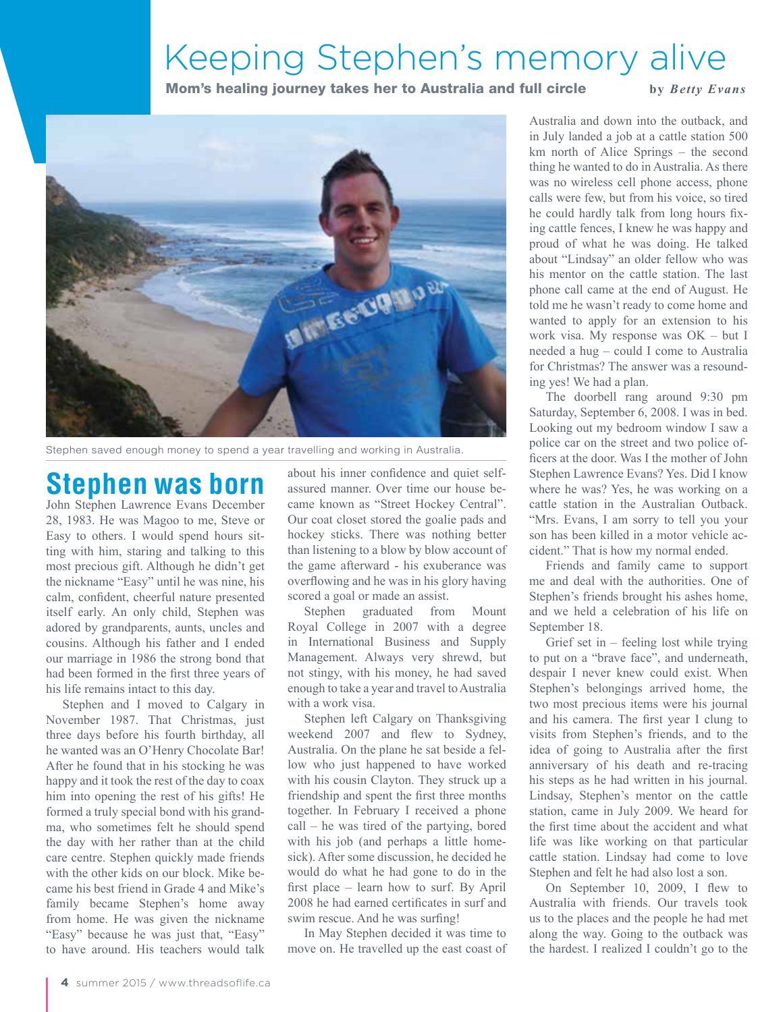## Keeping Stephen's memory alive

Mom's healing journey takes her to Australia and full circle **by** *Betty Evans*



Stephen saved enough money to spend a year travelling and working in Australia.

## **Stephen was born**

John Stephen Lawrence Evans December 28, 1983. He was Magoo to me, Steve or Easy to others. I would spend hours sitting with him, staring and talking to this most precious gift. Although he didn't get the nickname "Easy" until he was nine, his calm, confident, cheerful nature presented itself early. An only child, Stephen was adored by grandparents, aunts, uncles and cousins. Although his father and I ended our marriage in 1986 the strong bond that had been formed in the first three years of his life remains intact to this day.

Stephen and I moved to Calgary in November 1987. That Christmas, just three days before his fourth birthday, all he wanted was an O'Henry Chocolate Bar! After he found that in his stocking he was happy and it took the rest of the day to coax him into opening the rest of his gifts! He formed a truly special bond with his grandma, who sometimes felt he should spend the day with her rather than at the child care centre. Stephen quickly made friends with the other kids on our block. Mike became his best friend in Grade 4 and Mike's family became Stephen's home away from home. He was given the nickname "Easy" because he was just that, "Easy" to have around. His teachers would talk about his inner confidence and quiet selfassured manner. Over time our house became known as "Street Hockey Central". Our coat closet stored the goalie pads and hockey sticks. There was nothing better than listening to a blow by blow account of the game afterward - his exuberance was overflowing and he was in his glory having scored a goal or made an assist.

Stephen graduated from Mount Royal College in 2007 with a degree in International Business and Supply Management. Always very shrewd, but not stingy, with his money, he had saved enough to take a year and travel to Australia with a work visa.

Stephen left Calgary on Thanksgiving weekend 2007 and flew to Sydney, Australia. On the plane he sat beside a fellow who just happened to have worked with his cousin Clayton. They struck up a friendship and spent the first three months together. In February I received a phone call – he was tired of the partying, bored with his job (and perhaps a little homesick). After some discussion, he decided he would do what he had gone to do in the first place – learn how to surf. By April 2008 he had earned certificates in surf and swim rescue. And he was surfing!

In May Stephen decided it was time to move on. He travelled up the east coast of Australia and down into the outback, and in July landed a job at a cattle station 500 km north of Alice Springs – the second thing he wanted to do in Australia. As there was no wireless cell phone access, phone calls were few, but from his voice, so tired he could hardly talk from long hours fixing cattle fences, I knew he was happy and proud of what he was doing. He talked about "Lindsay" an older fellow who was his mentor on the cattle station. The last phone call came at the end of August. He told me he wasn't ready to come home and wanted to apply for an extension to his work visa. My response was OK – but I needed a hug – could I come to Australia for Christmas? The answer was a resounding yes! We had a plan.

The doorbell rang around 9:30 pm Saturday, September 6, 2008. I was in bed. Looking out my bedroom window I saw a police car on the street and two police officers at the door. Was I the mother of John Stephen Lawrence Evans? Yes. Did I know where he was? Yes, he was working on a cattle station in the Australian Outback. "Mrs. Evans, I am sorry to tell you your son has been killed in a motor vehicle accident." That is how my normal ended.

Friends and family came to support me and deal with the authorities. One of Stephen's friends brought his ashes home, and we held a celebration of his life on September 18.

Grief set in – feeling lost while trying to put on a "brave face", and underneath, despair I never knew could exist. When Stephen's belongings arrived home, the two most precious items were his journal and his camera. The first year I clung to visits from Stephen's friends, and to the idea of going to Australia after the first anniversary of his death and re-tracing his steps as he had written in his journal. Lindsay, Stephen's mentor on the cattle station, came in July 2009. We heard for the first time about the accident and what life was like working on that particular cattle station. Lindsay had come to love Stephen and felt he had also lost a son.

On September 10, 2009, I flew to Australia with friends. Our travels took us to the places and the people he had met along the way. Going to the outback was the hardest. I realized I couldn't go to the